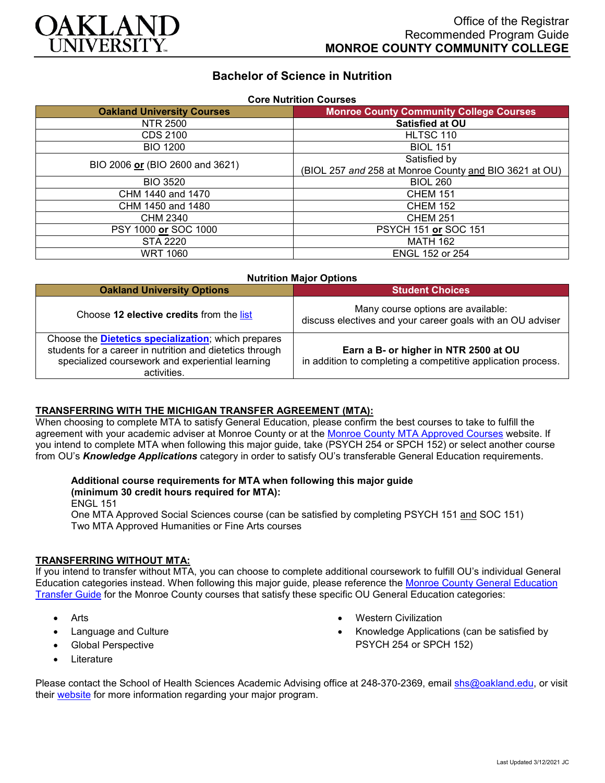

# **Bachelor of Science in Nutrition**

| <b>Core Nutrition Courses</b>     |                                                        |
|-----------------------------------|--------------------------------------------------------|
| <b>Oakland University Courses</b> | <b>Monroe County Community College Courses</b>         |
| NTR 2500                          | Satisfied at OU                                        |
| CDS 2100                          | HLTSC 110                                              |
| <b>BIO 1200</b>                   | <b>BIOL 151</b>                                        |
| BIO 2006 or (BIO 2600 and 3621)   | Satisfied by                                           |
|                                   | (BIOL 257 and 258 at Monroe County and BIO 3621 at OU) |
| <b>BIO 3520</b>                   | <b>BIOL 260</b>                                        |
| CHM 1440 and 1470                 | <b>CHEM 151</b>                                        |
| CHM 1450 and 1480                 | <b>CHEM 152</b>                                        |
| CHM 2340                          | <b>CHEM 251</b>                                        |
| PSY 1000 or SOC 1000              | <b>PSYCH 151 or SOC 151</b>                            |
| <b>STA 2220</b>                   | <b>MATH 162</b>                                        |
| <b>WRT 1060</b>                   | <b>ENGL 152 or 254</b>                                 |

| <b>Nutrition Major Options</b>                                                                                                                                                             |                                                                                                       |
|--------------------------------------------------------------------------------------------------------------------------------------------------------------------------------------------|-------------------------------------------------------------------------------------------------------|
| <b>Oakland University Options</b>                                                                                                                                                          | <b>Student Choices</b>                                                                                |
| Choose 12 elective credits from the list                                                                                                                                                   | Many course options are available:<br>discuss electives and your career goals with an OU adviser      |
| Choose the <b>Dietetics specialization</b> ; which prepares<br>students for a career in nutrition and dietetics through<br>specialized coursework and experiential learning<br>activities. | Earn a B- or higher in NTR 2500 at OU<br>in addition to completing a competitive application process. |

### **TRANSFERRING WITH THE MICHIGAN TRANSFER AGREEMENT (MTA):**

When choosing to complete MTA to satisfy General Education, please confirm the best courses to take to fulfill the agreement with your academic adviser at Monroe County or at the [Monroe County MTA Approved Courses](https://www.monroeccc.edu/transfer/michigan-transfer-agreement) website. If you intend to complete MTA when following this major guide, take (PSYCH 254 or SPCH 152) or select another course from OU's *Knowledge Applications* category in order to satisfy OU's transferable General Education requirements.

#### **Additional course requirements for MTA when following this major guide (minimum 30 credit hours required for MTA):**

ENGL 151

One MTA Approved Social Sciences course (can be satisfied by completing PSYCH 151 and SOC 151) Two MTA Approved Humanities or Fine Arts courses

## **TRANSFERRING WITHOUT MTA:**

If you intend to transfer without MTA, you can choose to complete additional coursework to fulfill OU's individual General Education categories instead. When following this major guide, please reference the [Monroe County General Education](https://www.oakland.edu/Assets/Oakland/program-guides/monroe-county-community-college/university-general-education-requirements/Monroe%20County%20Gen%20Ed.pdf)  [Transfer Guide](https://www.oakland.edu/Assets/Oakland/program-guides/monroe-county-community-college/university-general-education-requirements/Monroe%20County%20Gen%20Ed.pdf) for the Monroe County courses that satisfy these specific OU General Education categories:

- Arts
- Language and Culture
- Global Perspective
- **Literature**
- Western Civilization
- Knowledge Applications (can be satisfied by PSYCH 254 or SPCH 152)

Please contact the School of Health Sciences Academic Advising office at 248-370-2369, email [shs@oakland.edu,](mailto:shs@oakland.edu) or visit their [website](http://www.oakland.edu/shs/advising) for more information regarding your major program.